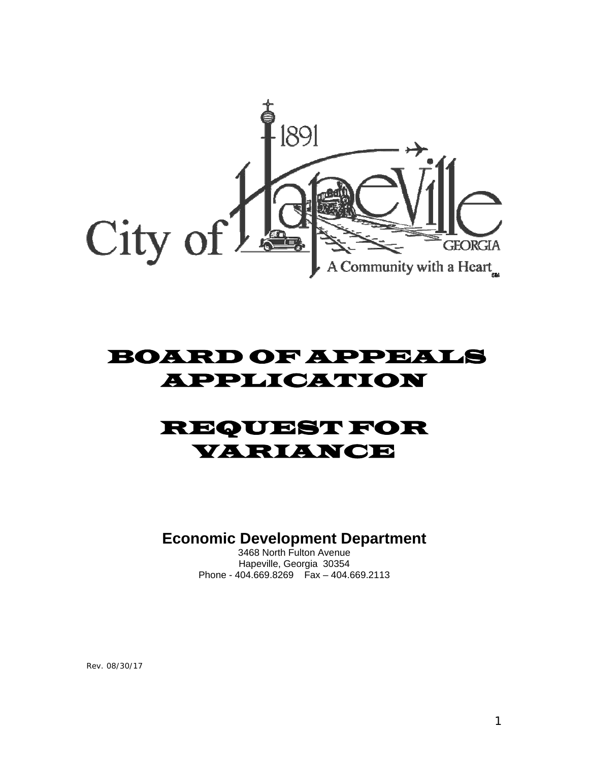

# BOARD OF APPEALS APPLICATION

# REQUEST FOR VARIANCE

**Economic Development Department** 

3468 North Fulton Avenue Hapeville, Georgia 30354 Phone - 404.669.8269 Fax – 404.669.2113

Rev. 08/30/17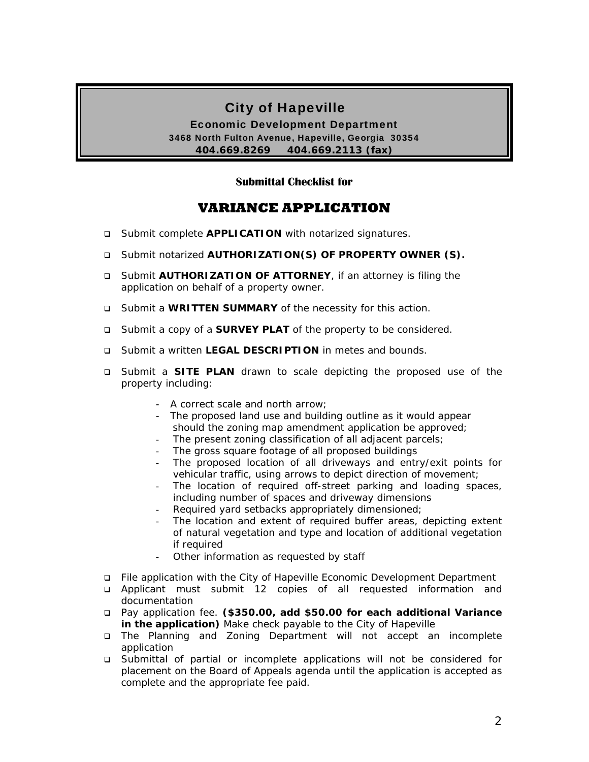# City of Hapeville

Economic Development Department 3468 North Fulton Avenue, Hapeville, Georgia 30354 **404.669.8269 404.669.2113 (fax)** 

#### **Submittal Checklist for**

# **VARIANCE APPLICATION**

- □ Submit complete **APPLICATION** with notarized signatures.
- Submit notarized **AUTHORIZATION(S) OF PROPERTY OWNER (S).**
- Submit **AUTHORIZATION OF ATTORNEY**, if an attorney is filing the application on behalf of a property owner.
- Submit a **WRITTEN SUMMARY** of the necessity for this action.
- Submit a copy of a **SURVEY PLAT** of the property to be considered.
- Submit a written **LEGAL DESCRIPTION** in metes and bounds.
- Submit a **SITE PLAN** drawn to scale depicting the proposed use of the property including:
	- A correct scale and north arrow;
	- The proposed land use and building outline as it would appear should the zoning map amendment application be approved;
	- The present zoning classification of all adjacent parcels;
	- The gross square footage of all proposed buildings
	- The proposed location of all driveways and entry/exit points for vehicular traffic, using arrows to depict direction of movement;
	- The location of required off-street parking and loading spaces, including number of spaces and driveway dimensions
	- Required yard setbacks appropriately dimensioned;
	- The location and extent of required buffer areas, depicting extent of natural vegetation and type and location of additional vegetation if required
	- Other information as requested by staff
- File application with the City of Hapeville Economic Development Department
- Applicant must submit 12 copies of all requested information and documentation
- Pay application fee. **(\$350.00, add \$50.00 for each additional Variance in the application)** Make check payable to the City of Hapeville
- The Planning and Zoning Department will not accept an incomplete application
- Submittal of partial or incomplete applications will not be considered for placement on the Board of Appeals agenda until the application is accepted as complete and the appropriate fee paid.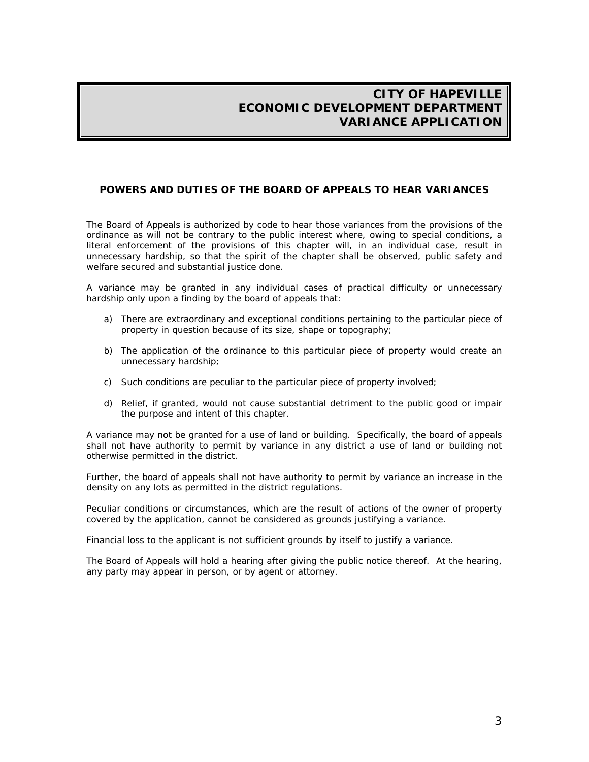#### **POWERS AND DUTIES OF THE BOARD OF APPEALS TO HEAR VARIANCES**

The Board of Appeals is authorized by code to hear those variances from the provisions of the ordinance as will not be contrary to the public interest where, owing to special conditions, a literal enforcement of the provisions of this chapter will, in an individual case, result in unnecessary hardship, so that the spirit of the chapter shall be observed, public safety and welfare secured and substantial justice done.

A variance may be granted in any individual cases of practical difficulty or unnecessary hardship only upon a finding by the board of appeals that:

- a) There are extraordinary and exceptional conditions pertaining to the particular piece of property in question because of its size, shape or topography;
- b) The application of the ordinance to this particular piece of property would create an unnecessary hardship;
- c) Such conditions are peculiar to the particular piece of property involved;
- d) Relief, if granted, would not cause substantial detriment to the public good or impair the purpose and intent of this chapter.

A variance may not be granted for a use of land or building. Specifically, the board of appeals shall not have authority to permit by variance in any district a use of land or building not otherwise permitted in the district.

Further, the board of appeals shall not have authority to permit by variance an increase in the density on any lots as permitted in the district regulations.

Peculiar conditions or circumstances, which are the result of actions of the owner of property covered by the application, cannot be considered as grounds justifying a variance.

Financial loss to the applicant is not sufficient grounds by itself to justify a variance.

The Board of Appeals will hold a hearing after giving the public notice thereof. At the hearing, any party may appear in person, or by agent or attorney.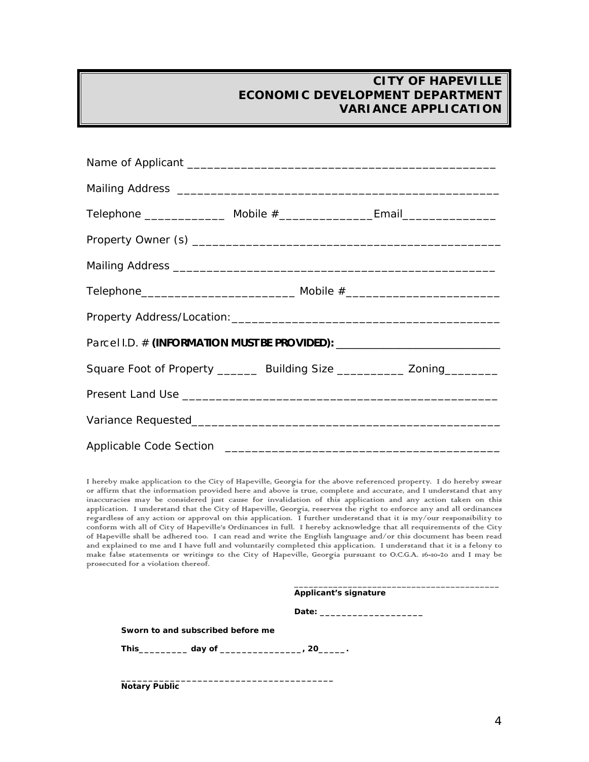| Telephone __________________ Mobile #____________________Email__________________ |  |  |  |
|----------------------------------------------------------------------------------|--|--|--|
|                                                                                  |  |  |  |
|                                                                                  |  |  |  |
|                                                                                  |  |  |  |
|                                                                                  |  |  |  |
| Parcel I.D. # (INFORMATION MUST BE PROVIDED): __________________________________ |  |  |  |
| Square Foot of Property ________ Building Size ___________ Zoning_________       |  |  |  |
|                                                                                  |  |  |  |
|                                                                                  |  |  |  |
|                                                                                  |  |  |  |

I hereby make application to the City of Hapeville, Georgia for the above referenced property. I do hereby swear or affirm that the information provided here and above is true, complete and accurate, and I understand that any inaccuracies may be considered just cause for invalidation of this application and any action taken on this application. I understand that the City of Hapeville, Georgia, reserves the right to enforce any and all ordinances regardless of any action or approval on this application. I further understand that it is my/our responsibility to conform with all of City of Hapeville's Ordinances in full. I hereby acknowledge that all requirements of the City of Hapeville shall be adhered too. I can read and write the English language and/or this document has been read and explained to me and I have full and voluntarily completed this application. I understand that it is a felony to make false statements or writings to the City of Hapeville, Georgia pursuant to O.C.G.A. 16-10-20 and I may be prosecuted for a violation thereof.

|                                                              | Applicant's signature |  |
|--------------------------------------------------------------|-----------------------|--|
|                                                              |                       |  |
| Sworn to and subscribed before me                            |                       |  |
| This_____________ day of _______________________, 20_______. |                       |  |
|                                                              |                       |  |

**Notary Public**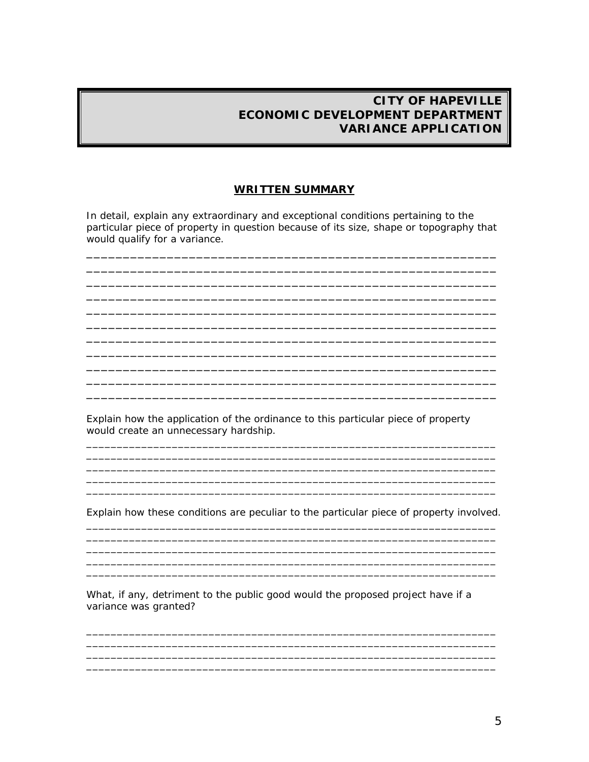#### **WRITTEN SUMMARY**

In detail, explain any extraordinary and exceptional conditions pertaining to the particular piece of property in question because of its size, shape or topography that would qualify for a variance.

Explain how the application of the ordinance to this particular piece of property would create an unnecessary hardship.

Explain how these conditions are peculiar to the particular piece of property involved.

What, if any, detriment to the public good would the proposed project have if a variance was granted?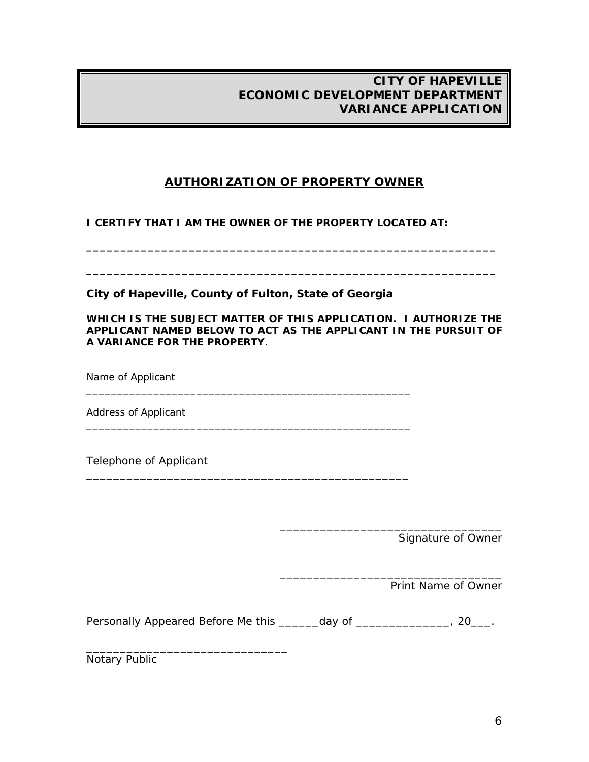# **AUTHORIZATION OF PROPERTY OWNER**

**\_\_\_\_\_\_\_\_\_\_\_\_\_\_\_\_\_\_\_\_\_\_\_\_\_\_\_\_\_\_\_\_\_\_\_\_\_\_\_\_\_\_\_\_\_\_\_\_\_\_\_\_\_\_\_\_\_\_\_\_** 

**\_\_\_\_\_\_\_\_\_\_\_\_\_\_\_\_\_\_\_\_\_\_\_\_\_\_\_\_\_\_\_\_\_\_\_\_\_\_\_\_\_\_\_\_\_\_\_\_\_\_\_\_\_\_\_\_\_\_\_\_** 

**I CERTIFY THAT I AM THE OWNER OF THE PROPERTY LOCATED AT:** 

**City of Hapeville, County of Fulton, State of Georgia** 

\_\_\_\_\_\_\_\_\_\_\_\_\_\_\_\_\_\_\_\_\_\_\_\_\_\_\_\_\_\_\_\_\_\_\_\_\_\_\_\_\_\_\_\_\_\_\_\_\_\_\_\_\_

\_\_\_\_\_\_\_\_\_\_\_\_\_\_\_\_\_\_\_\_\_\_\_\_\_\_\_\_\_\_\_\_\_\_\_\_\_\_\_\_\_\_\_\_\_\_\_\_\_\_\_\_\_

\_\_\_\_\_\_\_\_\_\_\_\_\_\_\_\_\_\_\_\_\_\_\_\_\_\_\_\_\_\_\_\_\_\_\_\_\_\_\_\_\_\_\_\_\_\_\_\_

**WHICH IS THE SUBJECT MATTER OF THIS APPLICATION. I AUTHORIZE THE APPLICANT NAMED BELOW TO ACT AS THE APPLICANT IN THE PURSUIT OF A VARIANCE FOR THE PROPERTY**.

Name of Applicant

Address of Applicant

Telephone of Applicant

Signature of Owner

\_\_\_\_\_\_\_\_\_\_\_\_\_\_\_\_\_\_\_\_\_\_\_\_\_\_\_\_\_\_\_\_\_

\_\_\_\_\_\_\_\_\_\_\_\_\_\_\_\_\_\_\_\_\_\_\_\_\_\_\_\_\_\_\_\_\_

Print Name of Owner

Personally Appeared Before Me this \_\_\_\_\_\_day of \_\_\_\_\_\_\_\_\_\_\_\_\_, 20\_\_\_.

Notary Public

\_\_\_\_\_\_\_\_\_\_\_\_\_\_\_\_\_\_\_\_\_\_\_\_\_\_\_\_\_\_